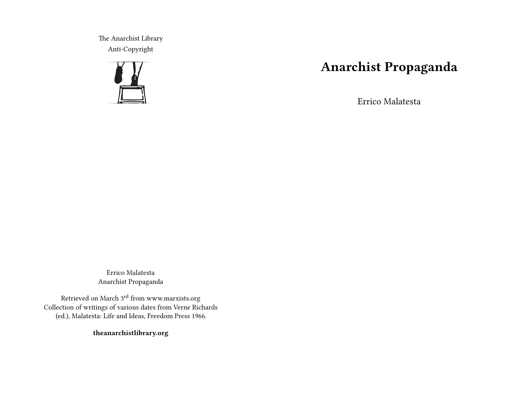The Anarchist Library Anti-Copyright



## **Anarchist Propaganda**

Errico Malatesta

Errico Malatesta Anarchist Propaganda

Retrieved on March 3rd from www.marxists.org Collection of writings of various dates from Verne Richards (ed.), Malatesta: Life and Ideas, Freedom Press 1966.

**theanarchistlibrary.org**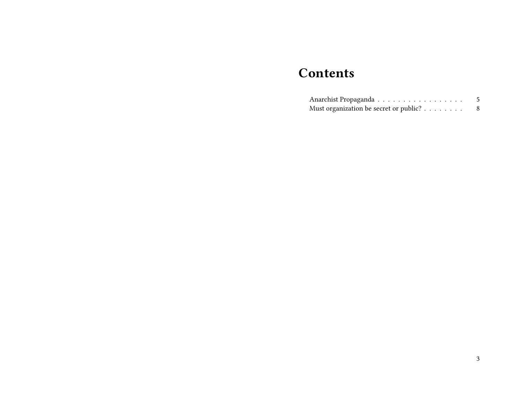## **Contents**

| Anarchist Propaganda                   |  |
|----------------------------------------|--|
| Must organization be secret or public? |  |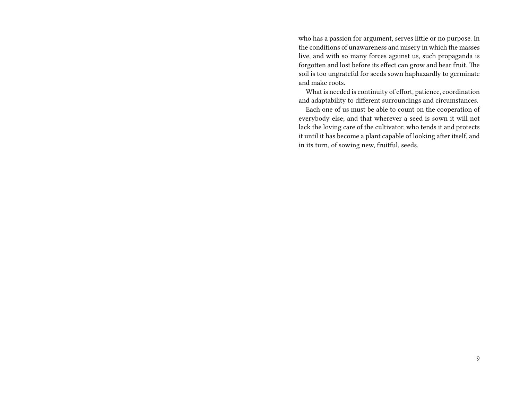who has a passion for argument, serves little or no purpose. In the conditions of unawareness and misery in which the masses live, and with so many forces against us, such propaganda is forgotten and lost before its effect can grow and bear fruit. The soil is too ungrateful for seeds sown haphazardly to germinate and make roots.

What is needed is continuity of effort, patience, coordination and adaptability to different surroundings and circumstances.

Each one of us must be able to count on the cooperation of everybody else; and that wherever a seed is sown it will not lack the loving care of the cultivator, who tends it and protects it until it has become a plant capable of looking after itself, and in its turn, of sowing new, fruitful, seeds.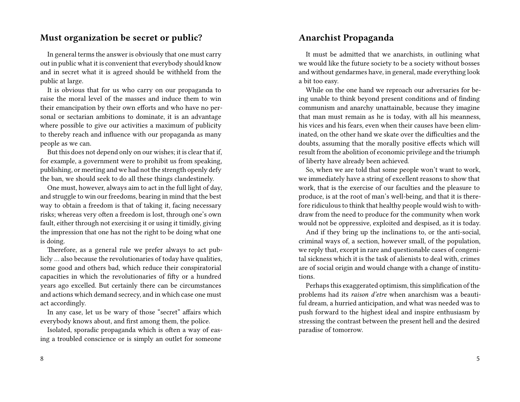## **Must organization be secret or public?**

In general terms the answer is obviously that one must carry out in public what it is convenient that everybody should know and in secret what it is agreed should be withheld from the public at large.

It is obvious that for us who carry on our propaganda to raise the moral level of the masses and induce them to win their emancipation by their own efforts and who have no personal or sectarian ambitions to dominate, it is an advantage where possible to give our activities a maximum of publicity to thereby reach and influence with our propaganda as many people as we can.

But this does not depend only on our wishes; it is clear that if, for example, a government were to prohibit us from speaking, publishing, or meeting and we had not the strength openly defy the ban, we should seek to do all these things clandestinely.

One must, however, always aim to act in the full light of day, and struggle to win our freedoms, bearing in mind that the best way to obtain a freedom is that of taking it, facing necessary risks; whereas very often a freedom is lost, through one's own fault, either through not exercising it or using it timidly, giving the impression that one has not the right to be doing what one is doing.

Therefore, as a general rule we prefer always to act publicly … also because the revolutionaries of today have qualities, some good and others bad, which reduce their conspiratorial capacities in which the revolutionaries of fifty or a hundred years ago excelled. But certainly there can be circumstances and actions which demand secrecy, and in which case one must act accordingly.

In any case, let us be wary of those "secret" affairs which everybody knows about, and first among them, the police.

Isolated, sporadic propaganda which is often a way of easing a troubled conscience or is simply an outlet for someone

## **Anarchist Propaganda**

It must be admitted that we anarchists, in outlining what we would like the future society to be a society without bosses and without gendarmes have, in general, made everything look a bit too easy.

While on the one hand we reproach our adversaries for being unable to think beyond present conditions and of finding communism and anarchy unattainable, because they imagine that man must remain as he is today, with all his meanness, his vices and his fears, even when their causes have been eliminated, on the other hand we skate over the difficulties and the doubts, assuming that the morally positive effects which will result from the abolition of economic privilege and the triumph of liberty have already been achieved.

So, when we are told that some people won't want to work, we immediately have a string of excellent reasons to show that work, that is the exercise of our faculties and the pleasure to produce, is at the root of man's well-being, and that it is therefore ridiculous to think that healthy people would wish to withdraw from the need to produce for the community when work would not be oppressive, exploited and despised, as it is today.

And if they bring up the inclinations to, or the anti-social, criminal ways of, a section, however small, of the population, we reply that, except in rare and questionable cases of congenital sickness which it is the task of alienists to deal with, crimes are of social origin and would change with a change of institutions.

Perhaps this exaggerated optimism, this simplification of the problems had its *raison d'etre* when anarchism was a beautiful dream, a hurried anticipation, and what was needed was to push forward to the highest ideal and inspire enthusiasm by stressing the contrast between the present hell and the desired paradise of tomorrow.